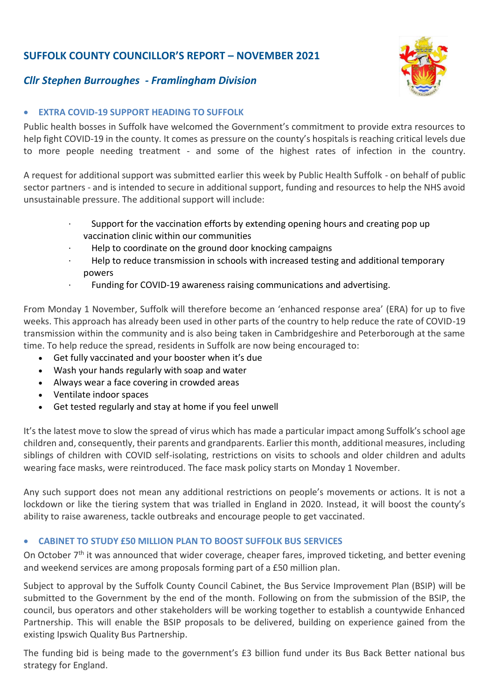# **SUFFOLK COUNTY COUNCILLOR'S REPORT – NOVEMBER 2021**





## • **EXTRA COVID-19 SUPPORT HEADING TO SUFFOLK**

Public health bosses in Suffolk have welcomed the Government's commitment to provide extra resources to help fight COVID-19 in the county. It comes as pressure on the county's hospitals is reaching critical levels due to more people needing treatment - and some of the highest rates of infection in the country.

A request for additional support was submitted earlier this week by Public Health Suffolk - on behalf of public sector partners - and is intended to secure in additional support, funding and resources to help the NHS avoid unsustainable pressure. The additional support will include:

- · Support for the vaccination efforts by extending opening hours and creating pop up vaccination clinic within our communities
- · Help to coordinate on the ground door knocking campaigns
- · Help to reduce transmission in schools with increased testing and additional temporary powers
- Funding for COVID-19 awareness raising communications and advertising.

From Monday 1 November, Suffolk will therefore become an 'enhanced response area' (ERA) for up to five weeks. This approach has already been used in other parts of the country to help reduce the rate of COVID-19 transmission within the community and is also being taken in Cambridgeshire and Peterborough at the same time. To help reduce the spread, residents in Suffolk are now being encouraged to:

- Get fully vaccinated and your booster when it's due
- Wash your hands regularly with soap and water
- Always wear a face covering in crowded areas
- Ventilate indoor spaces
- Get tested regularly and stay at home if you feel unwell

It's the latest move to slow the spread of virus which has made a particular impact among Suffolk's school age children and, consequently, their parents and grandparents. Earlier this month, additional measures, including siblings of children with COVID self-isolating, restrictions on visits to schools and older children and adults wearing face masks, were reintroduced. The face mask policy starts on Monday 1 November.

Any such support does not mean any additional restrictions on people's movements or actions. It is not a lockdown or like the tiering system that was trialled in England in 2020. Instead, it will boost the county's ability to raise awareness, tackle outbreaks and encourage people to get vaccinated.

#### • **CABINET TO STUDY £50 MILLION PLAN TO BOOST SUFFOLK BUS SERVICES**

On October 7<sup>th</sup> it was announced that wider coverage, cheaper fares, improved ticketing, and better evening and weekend services are among proposals forming part of a £50 million plan.

Subject to approval by the Suffolk County Council Cabinet, the Bus Service Improvement Plan (BSIP) will be submitted to the Government by the end of the month. Following on from the submission of the BSIP, the council, bus operators and other stakeholders will be working together to establish a countywide Enhanced Partnership. This will enable the BSIP proposals to be delivered, building on experience gained from the existing Ipswich Quality Bus Partnership.

The funding bid is being made to the government's £3 billion fund under its Bus Back Better national bus strategy for England.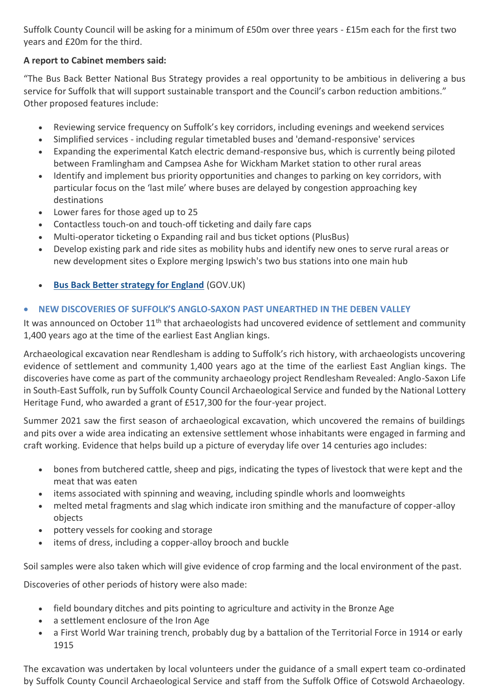Suffolk County Council will be asking for a minimum of £50m over three years - £15m each for the first two years and £20m for the third.

# **A report to Cabinet members said:**

"The Bus Back Better National Bus Strategy provides a real opportunity to be ambitious in delivering a bus service for Suffolk that will support sustainable transport and the Council's carbon reduction ambitions." Other proposed features include:

- Reviewing service frequency on Suffolk's key corridors, including evenings and weekend services
- Simplified services including regular timetabled buses and 'demand-responsive' services
- Expanding the experimental Katch electric demand-responsive bus, which is currently being piloted between Framlingham and Campsea Ashe for Wickham Market station to other rural areas
- Identify and implement bus priority opportunities and changes to parking on key corridors, with particular focus on the 'last mile' where buses are delayed by congestion approaching key destinations
- Lower fares for those aged up to 25
- Contactless touch-on and touch-off ticketing and daily fare caps
- Multi-operator ticketing o Expanding rail and bus ticket options (PlusBus)
- Develop existing park and ride sites as mobility hubs and identify new ones to serve rural areas or new development sites o Explore merging Ipswich's two bus stations into one main hub
- **[Bus Back Better strategy for England](https://www.gov.uk/government/publications/bus-back-better)** (GOV.UK)

# • **NEW DISCOVERIES OF SUFFOLK'S ANGLO-SAXON PAST UNEARTHED IN THE DEBEN VALLEY**

It was announced on October 11<sup>th</sup> that archaeologists had uncovered evidence of settlement and community 1,400 years ago at the time of the earliest East Anglian kings.

Archaeological excavation near Rendlesham is adding to Suffolk's rich history, with archaeologists uncovering evidence of settlement and community 1,400 years ago at the time of the earliest East Anglian kings. The discoveries have come as part of the community archaeology project Rendlesham Revealed: Anglo-Saxon Life in South-East Suffolk, run by Suffolk County Council Archaeological Service and funded by the National Lottery Heritage Fund, who awarded a grant of £517,300 for the four-year project.

Summer 2021 saw the first season of archaeological excavation, which uncovered the remains of buildings and pits over a wide area indicating an extensive settlement whose inhabitants were engaged in farming and craft working. Evidence that helps build up a picture of everyday life over 14 centuries ago includes:

- bones from butchered cattle, sheep and pigs, indicating the types of livestock that were kept and the meat that was eaten
- items associated with spinning and weaving, including spindle whorls and loomweights
- melted metal fragments and slag which indicate iron smithing and the manufacture of copper-alloy objects
- pottery vessels for cooking and storage
- items of dress, including a copper-alloy brooch and buckle

Soil samples were also taken which will give evidence of crop farming and the local environment of the past.

Discoveries of other periods of history were also made:

- field boundary ditches and pits pointing to agriculture and activity in the Bronze Age
- a settlement enclosure of the Iron Age
- a First World War training trench, probably dug by a battalion of the Territorial Force in 1914 or early 1915

The excavation was undertaken by local volunteers under the guidance of a small expert team co-ordinated by Suffolk County Council Archaeological Service and staff from the Suffolk Office of Cotswold Archaeology.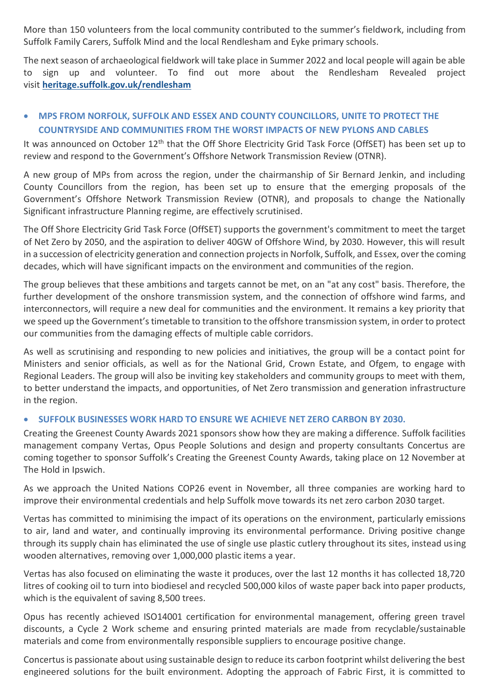More than 150 volunteers from the local community contributed to the summer's fieldwork, including from Suffolk Family Carers, Suffolk Mind and the local Rendlesham and Eyke primary schools.

The next season of archaeological fieldwork will take place in Summer 2022 and local people will again be able to sign up and volunteer. To find out more about the Rendlesham Revealed project visit **[heritage.suffolk.gov.uk/rendlesham](https://heritage.suffolk.gov.uk/rendlesham)**

# • **MPS FROM NORFOLK, SUFFOLK AND ESSEX AND COUNTY COUNCILLORS, UNITE TO PROTECT THE COUNTRYSIDE AND COMMUNITIES FROM THE WORST IMPACTS OF NEW PYLONS AND CABLES**

It was announced on October 12<sup>th</sup> that the Off Shore Electricity Grid Task Force (OffSET) has been set up to review and respond to the Government's Offshore Network Transmission Review (OTNR).

A new group of MPs from across the region, under the chairmanship of Sir Bernard Jenkin, and including County Councillors from the region, has been set up to ensure that the emerging proposals of the Government's Offshore Network Transmission Review (OTNR), and proposals to change the Nationally Significant infrastructure Planning regime, are effectively scrutinised.

The Off Shore Electricity Grid Task Force (OffSET) supports the government's commitment to meet the target of Net Zero by 2050, and the aspiration to deliver 40GW of Offshore Wind, by 2030. However, this will result in a succession of electricity generation and connection projects in Norfolk, Suffolk, and Essex, over the coming decades, which will have significant impacts on the environment and communities of the region.

The group believes that these ambitions and targets cannot be met, on an "at any cost" basis. Therefore, the further development of the onshore transmission system, and the connection of offshore wind farms, and interconnectors, will require a new deal for communities and the environment. It remains a key priority that we speed up the Government's timetable to transition to the offshore transmission system, in order to protect our communities from the damaging effects of multiple cable corridors.

As well as scrutinising and responding to new policies and initiatives, the group will be a contact point for Ministers and senior officials, as well as for the National Grid, Crown Estate, and Ofgem, to engage with Regional Leaders. The group will also be inviting key stakeholders and community groups to meet with them, to better understand the impacts, and opportunities, of Net Zero transmission and generation infrastructure in the region.

#### • **SUFFOLK BUSINESSES WORK HARD TO ENSURE WE ACHIEVE NET ZERO CARBON BY 2030.**

Creating the Greenest County Awards 2021 sponsors show how they are making a difference. Suffolk facilities management company Vertas, Opus People Solutions and design and property consultants Concertus are coming together to sponsor Suffolk's Creating the Greenest County Awards, taking place on 12 November at The Hold in Ipswich.

As we approach the United Nations COP26 event in November, all three companies are working hard to improve their environmental credentials and help Suffolk move towards its net zero carbon 2030 target.

Vertas has committed to minimising the impact of its operations on the environment, particularly emissions to air, land and water, and continually improving its environmental performance. Driving positive change through its supply chain has eliminated the use of single use plastic cutlery throughout its sites, instead using wooden alternatives, removing over 1,000,000 plastic items a year.

Vertas has also focused on eliminating the waste it produces, over the last 12 months it has collected 18,720 litres of cooking oil to turn into biodiesel and recycled 500,000 kilos of waste paper back into paper products, which is the equivalent of saving 8,500 trees.

Opus has recently achieved ISO14001 certification for environmental management, offering green travel discounts, a Cycle 2 Work scheme and ensuring printed materials are made from recyclable/sustainable materials and come from environmentally responsible suppliers to encourage positive change.

Concertus is passionate about using sustainable design to reduce its carbon footprint whilst delivering the best engineered solutions for the built environment. Adopting the approach of Fabric First, it is committed to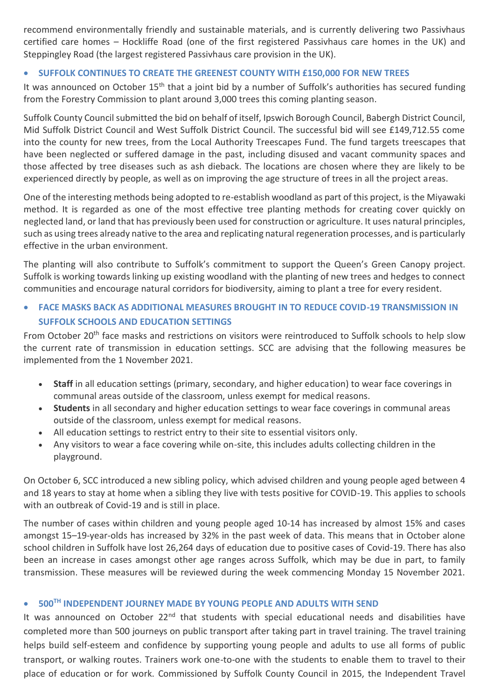recommend environmentally friendly and sustainable materials, and is currently delivering two Passivhaus certified care homes – Hockliffe Road (one of the first registered Passivhaus care homes in the UK) and Steppingley Road (the largest registered Passivhaus care provision in the UK).

#### • **SUFFOLK CONTINUES TO CREATE THE GREENEST COUNTY WITH £150,000 FOR NEW TREES**

It was announced on October 15<sup>th</sup> that a joint bid by a number of Suffolk's authorities has secured funding from the Forestry Commission to plant around 3,000 trees this coming planting season.

Suffolk County Council submitted the bid on behalf of itself, Ipswich Borough Council, Babergh District Council, Mid Suffolk District Council and West Suffolk District Council. The successful bid will see £149,712.55 come into the county for new trees, from the Local Authority Treescapes Fund. The fund targets treescapes that have been neglected or suffered damage in the past, including disused and vacant community spaces and those affected by tree diseases such as ash dieback. The locations are chosen where they are likely to be experienced directly by people, as well as on improving the age structure of trees in all the project areas.

One of the interesting methods being adopted to re-establish woodland as part of this project, is the Miyawaki method. It is regarded as one of the most effective tree planting methods for creating cover quickly on neglected land, or land that has previously been used for construction or agriculture. It uses natural principles, such as using trees already native to the area and replicating natural regeneration processes, and is particularly effective in the urban environment.

The planting will also contribute to Suffolk's commitment to support the Queen's Green Canopy project. Suffolk is working towards linking up existing woodland with the planting of new trees and hedges to connect communities and encourage natural corridors for biodiversity, aiming to plant a tree for every resident.

## • **FACE MASKS BACK AS ADDITIONAL MEASURES BROUGHT IN TO REDUCE COVID-19 TRANSMISSION IN SUFFOLK SCHOOLS AND EDUCATION SETTINGS**

From October 20<sup>th</sup> face masks and restrictions on visitors were reintroduced to Suffolk schools to help slow the current rate of transmission in education settings. SCC are advising that the following measures be implemented from the 1 November 2021.

- **Staff** in all education settings (primary, secondary, and higher education) to wear face coverings in communal areas outside of the classroom, unless exempt for medical reasons.
- **Students** in all secondary and higher education settings to wear face coverings in communal areas outside of the classroom, unless exempt for medical reasons.
- All education settings to restrict entry to their site to essential visitors only.
- Any visitors to wear a face covering while on-site, this includes adults collecting children in the playground.

On October 6, SCC introduced a new sibling policy, which advised children and young people aged between 4 and 18 years to stay at home when a sibling they live with tests positive for COVID-19. This applies to schools with an outbreak of Covid-19 and is still in place.

The number of cases within children and young people aged 10-14 has increased by almost 15% and cases amongst 15–19-year-olds has increased by 32% in the past week of data. This means that in October alone school children in Suffolk have lost 26,264 days of education due to positive cases of Covid-19. There has also been an increase in cases amongst other age ranges across Suffolk, which may be due in part, to family transmission. These measures will be reviewed during the week commencing Monday 15 November 2021.

#### • **500TH INDEPENDENT JOURNEY MADE BY YOUNG PEOPLE AND ADULTS WITH SEND**

It was announced on October 22<sup>nd</sup> that students with special educational needs and disabilities have completed more than 500 journeys on public transport after taking part in travel training. The travel training helps build self-esteem and confidence by supporting young people and adults to use all forms of public transport, or walking routes. Trainers work one-to-one with the students to enable them to travel to their place of education or for work. Commissioned by Suffolk County Council in 2015, the Independent Travel